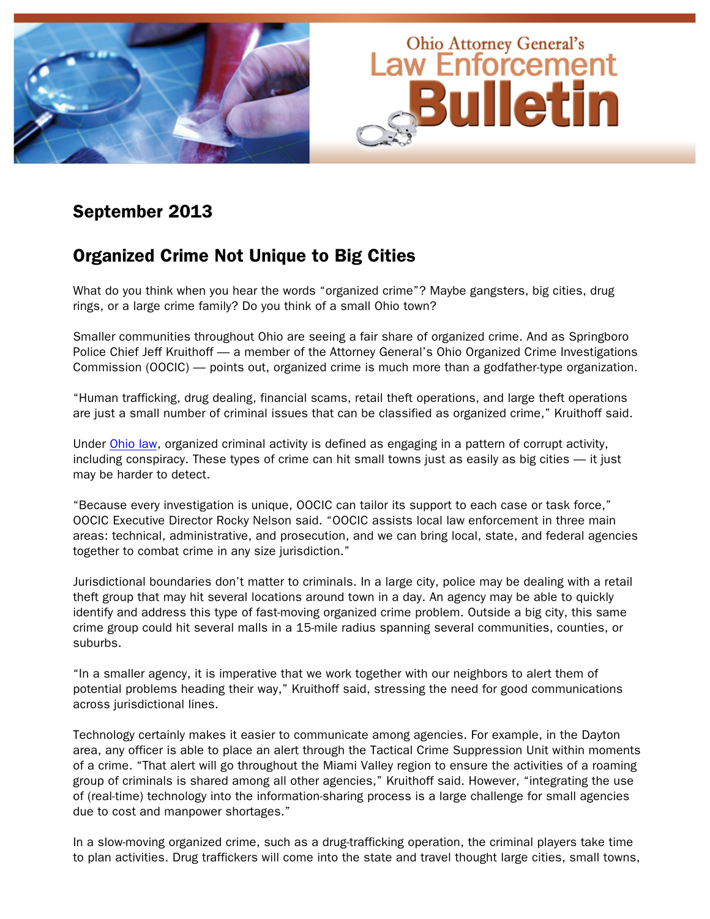

### September 2013

## Organized Crime Not Unique to Big Cities

What do you think when you hear the words "organized crime"? Maybe gangsters, big cities, drug rings, or a large crime family? Do you think of a small Ohio town?

Smaller communities throughout Ohio are seeing a fair share of organized crime. And as Springboro Police Chief Jeff Kruithoff — a member of the Attorney General's Ohio Organized Crime Investigations Commission (OOCIC) — points out, organized crime is much more than a godfather-type organization.

"Human trafficking, drug dealing, financial scams, retail theft operations, and large theft operations are just a small number of criminal issues that can be classified as organized crime," Kruithoff said.

Under [Ohio law,](http://codes.ohio.gov/orc/177.01) organized criminal activity is defined as engaging in a pattern of corrupt activity, including conspiracy. These types of crime can hit small towns just as easily as big cities — it just may be harder to detect.

"Because every investigation is unique, OOCIC can tailor its support to each case or task force," OOCIC Executive Director Rocky Nelson said. "OOCIC assists local law enforcement in three main areas: technical, administrative, and prosecution, and we can bring local, state, and federal agencies together to combat crime in any size jurisdiction."

Jurisdictional boundaries don't matter to criminals. In a large city, police may be dealing with a retail theft group that may hit several locations around town in a day. An agency may be able to quickly identify and address this type of fast-moving organized crime problem. Outside a big city, this same crime group could hit several malls in a 15-mile radius spanning several communities, counties, or suburbs.

"In a smaller agency, it is imperative that we work together with our neighbors to alert them of potential problems heading their way," Kruithoff said, stressing the need for good communications across jurisdictional lines.

Technology certainly makes it easier to communicate among agencies. For example, in the Dayton area, any officer is able to place an alert through the Tactical Crime Suppression Unit within moments of a crime. "That alert will go throughout the Miami Valley region to ensure the activities of a roaming group of criminals is shared among all other agencies," Kruithoff said. However, "integrating the use of (real-time) technology into the information-sharing process is a large challenge for small agencies due to cost and manpower shortages."

In a slow-moving organized crime, such as a drug-trafficking operation, the criminal players take time to plan activities. Drug traffickers will come into the state and travel thought large cities, small towns,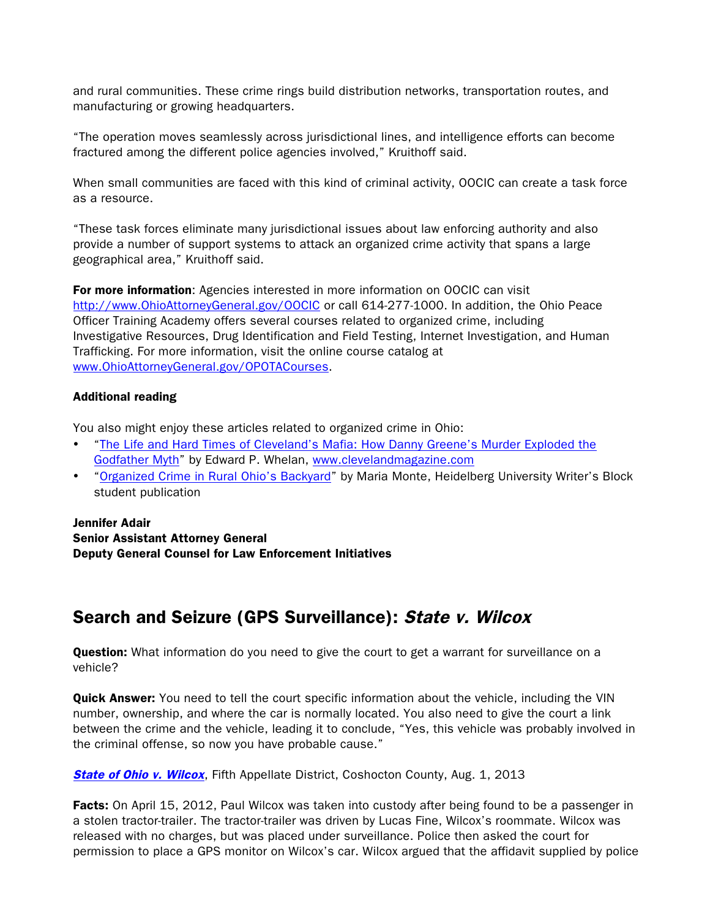and rural communities. These crime rings build distribution networks, transportation routes, and manufacturing or growing headquarters.

"The operation moves seamlessly across jurisdictional lines, and intelligence efforts can become fractured among the different police agencies involved," Kruithoff said.

When small communities are faced with this kind of criminal activity, OOCIC can create a task force as a resource.

"These task forces eliminate many jurisdictional issues about law enforcing authority and also provide a number of support systems to attack an organized crime activity that spans a large geographical area," Kruithoff said.

For more information: Agencies interested in more information on OOCIC can visit http://www.OhioAttorneyGeneral.gov/OOCIC or call 614-277-1000. In addition, the Ohio Peace Officer Training Academy offers several courses related to organized crime, including Investigative Resources, Drug Identification and Field Testing, Internet Investigation, and Human Trafficking. For more information, visit the online course catalog at www.OhioAttorneyGeneral.gov/OPOTACourses.

#### Additional reading

You also might enjoy these articles related to organized crime in Ohio:

- ["The Life and Hard Times of Cleveland's Mafia: How Danny Greene's Murder Exploded the](http://clevelandmagazine.com/ME2/dirmod.asp?sid=E73ABD6180B44874871A91F6BA5C249C&nm=Article+Archives&type=Publishing&mod=Publications::Article&mid=1578600D80804596A222593669321019&tier=4&id=DF84DD6073D84C4DB49BA3EDFA0AFEFF)  [Godfather Myth"](http://clevelandmagazine.com/ME2/dirmod.asp?sid=E73ABD6180B44874871A91F6BA5C249C&nm=Article+Archives&type=Publishing&mod=Publications::Article&mid=1578600D80804596A222593669321019&tier=4&id=DF84DD6073D84C4DB49BA3EDFA0AFEFF) by Edward P. Whelan, www.clevelandmagazine.com
- ["Organized Crime in Rural Ohio's Backyard"](http://www.heidelberg.edu/academiclife/depts/english/writing/pubs/block/crime) by Maria Monte, Heidelberg University Writer's Block student publication

### Jennifer Adair Senior Assistant Attorney General Deputy General Counsel for Law Enforcement Initiatives

# Search and Seizure (GPS Surveillance): State v. Wilcox

**Question:** What information do you need to give the court to get a warrant for surveillance on a vehicle?

**Quick Answer:** You need to tell the court specific information about the vehicle, including the VIN number, ownership, and where the car is normally located. You also need to give the court a link between the crime and the vehicle, leading it to conclude, "Yes, this vehicle was probably involved in the criminal offense, so now you have probable cause."

**[State of Ohio v. Wilcox](http://www.sconet.state.oh.us/rod/docs/pdf/5/2013/2013-ohio-3369.pdf),** Fifth Appellate District, Coshocton County, Aug. 1, 2013

Facts: On April 15, 2012, Paul Wilcox was taken into custody after being found to be a passenger in a stolen tractor-trailer. The tractor-trailer was driven by Lucas Fine, Wilcox's roommate. Wilcox was released with no charges, but was placed under surveillance. Police then asked the court for permission to place a GPS monitor on Wilcox's car. Wilcox argued that the affidavit supplied by police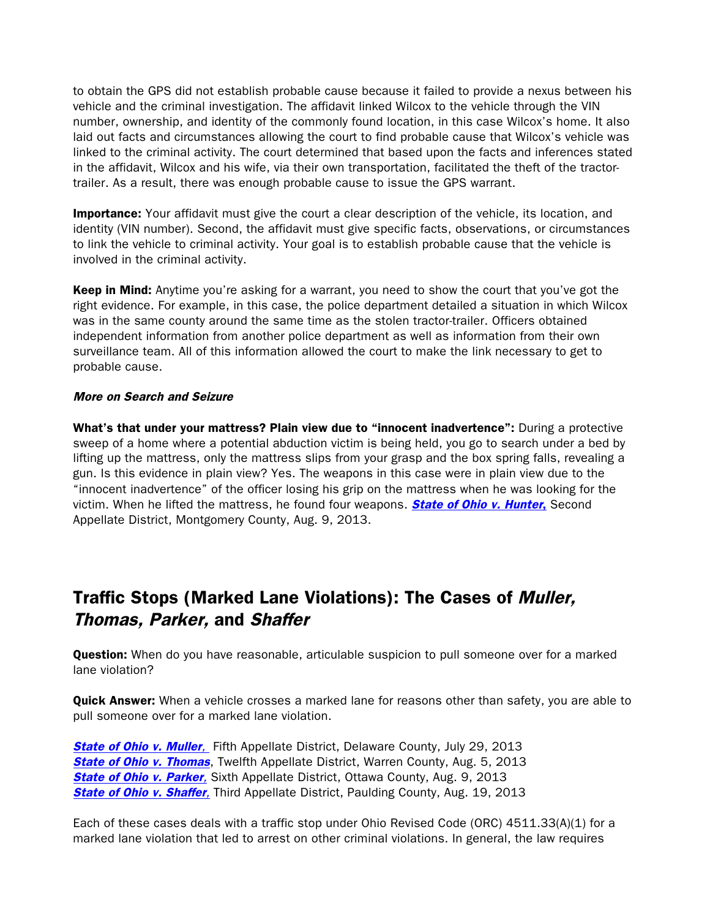to obtain the GPS did not establish probable cause because it failed to provide a nexus between his vehicle and the criminal investigation. The affidavit linked Wilcox to the vehicle through the VIN number, ownership, and identity of the commonly found location, in this case Wilcox's home. It also laid out facts and circumstances allowing the court to find probable cause that Wilcox's vehicle was linked to the criminal activity. The court determined that based upon the facts and inferences stated in the affidavit, Wilcox and his wife, via their own transportation, facilitated the theft of the tractortrailer. As a result, there was enough probable cause to issue the GPS warrant.

**Importance:** Your affidavit must give the court a clear description of the vehicle, its location, and identity (VIN number). Second, the affidavit must give specific facts, observations, or circumstances to link the vehicle to criminal activity. Your goal is to establish probable cause that the vehicle is involved in the criminal activity.

**Keep in Mind:** Anytime you're asking for a warrant, you need to show the court that you've got the right evidence. For example, in this case, the police department detailed a situation in which Wilcox was in the same county around the same time as the stolen tractor-trailer. Officers obtained independent information from another police department as well as information from their own surveillance team. All of this information allowed the court to make the link necessary to get to probable cause.

#### More on Search and Seizure

What's that under your mattress? Plain view due to "innocent inadvertence": During a protective sweep of a home where a potential abduction victim is being held, you go to search under a bed by lifting up the mattress, only the mattress slips from your grasp and the box spring falls, revealing a gun. Is this evidence in plain view? Yes. The weapons in this case were in plain view due to the "innocent inadvertence" of the officer losing his grip on the mattress when he was looking for the victim. When he lifted the mattress, he found four weapons. **[State of Ohio v. Hunter](http://www.sconet.state.oh.us/rod/docs/pdf/2/2013/2013-ohio-3459.pdf)**, Second Appellate District, Montgomery County, Aug. 9, 2013.

# Traffic Stops (Marked Lane Violations): The Cases of Muller, Thomas, Parker, and Shaffer

**Question:** When do you have reasonable, articulable suspicion to pull someone over for a marked lane violation?

**Quick Answer:** When a vehicle crosses a marked lane for reasons other than safety, you are able to pull someone over for a marked lane violation.

**[State of Ohio v. Muller](http://www.sconet.state.oh.us/rod/docs/pdf/5/2013/2013-ohio-3438.pdf),** Fifth Appellate District, Delaware County, July 29, 2013 **[State of Ohio v. Thomas](http://www.sconet.state.oh.us/rod/docs/pdf/12/2013/2013-ohio-3411.pdf), Twelfth Appellate District, Warren County, Aug. 5, 2013 [State of Ohio v. Parker](http://www.sconet.state.oh.us/rod/docs/pdf/6/2013/2013-ohio-3470.pdf),** Sixth Appellate District, Ottawa County, Aug. 9, 2013 **[State of Ohio v. Shaffer](http://www.sconet.state.oh.us/rod/docs/pdf/3/2013/2013-ohio-3581.pdf)**, Third Appellate District, Paulding County, Aug. 19, 2013

Each of these cases deals with a traffic stop under Ohio Revised Code (ORC) 4511.33(A)(1) for a marked lane violation that led to arrest on other criminal violations. In general, the law requires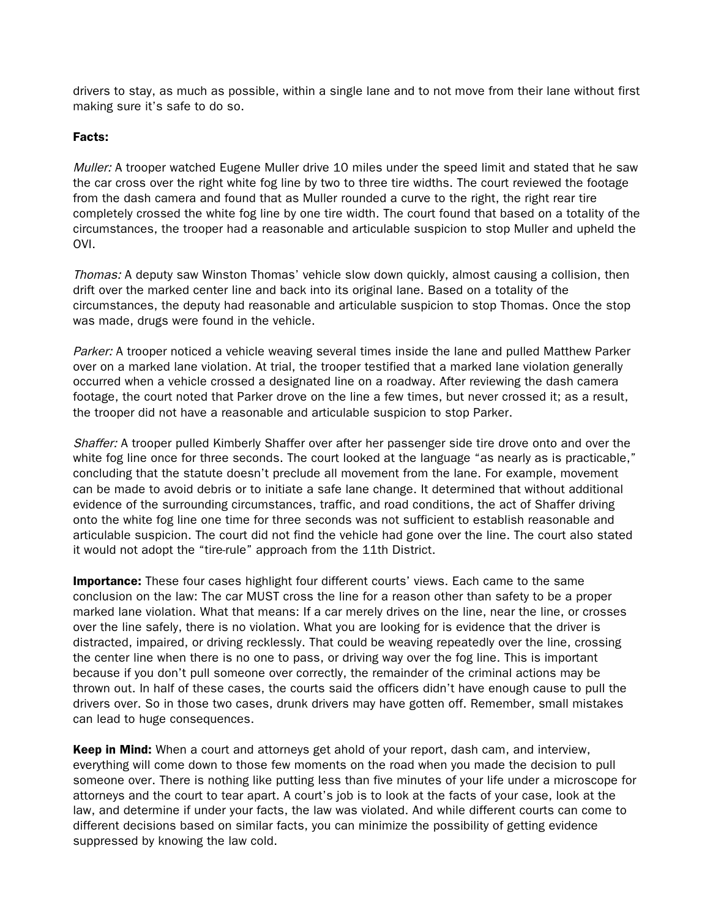drivers to stay, as much as possible, within a single lane and to not move from their lane without first making sure it's safe to do so.

### Facts:

Muller: A trooper watched Eugene Muller drive 10 miles under the speed limit and stated that he saw the car cross over the right white fog line by two to three tire widths. The court reviewed the footage from the dash camera and found that as Muller rounded a curve to the right, the right rear tire completely crossed the white fog line by one tire width. The court found that based on a totality of the circumstances, the trooper had a reasonable and articulable suspicion to stop Muller and upheld the OVI.

Thomas: A deputy saw Winston Thomas' vehicle slow down quickly, almost causing a collision, then drift over the marked center line and back into its original lane. Based on a totality of the circumstances, the deputy had reasonable and articulable suspicion to stop Thomas. Once the stop was made, drugs were found in the vehicle.

Parker: A trooper noticed a vehicle weaving several times inside the lane and pulled Matthew Parker over on a marked lane violation. At trial, the trooper testified that a marked lane violation generally occurred when a vehicle crossed a designated line on a roadway. After reviewing the dash camera footage, the court noted that Parker drove on the line a few times, but never crossed it; as a result, the trooper did not have a reasonable and articulable suspicion to stop Parker.

Shaffer: A trooper pulled Kimberly Shaffer over after her passenger side tire drove onto and over the white fog line once for three seconds. The court looked at the language "as nearly as is practicable," concluding that the statute doesn't preclude all movement from the lane. For example, movement can be made to avoid debris or to initiate a safe lane change. It determined that without additional evidence of the surrounding circumstances, traffic, and road conditions, the act of Shaffer driving onto the white fog line one time for three seconds was not sufficient to establish reasonable and articulable suspicion. The court did not find the vehicle had gone over the line. The court also stated it would not adopt the "tire-rule" approach from the 11th District.

**Importance:** These four cases highlight four different courts' views. Each came to the same conclusion on the law: The car MUST cross the line for a reason other than safety to be a proper marked lane violation. What that means: If a car merely drives on the line, near the line, or crosses over the line safely, there is no violation. What you are looking for is evidence that the driver is distracted, impaired, or driving recklessly. That could be weaving repeatedly over the line, crossing the center line when there is no one to pass, or driving way over the fog line. This is important because if you don't pull someone over correctly, the remainder of the criminal actions may be thrown out. In half of these cases, the courts said the officers didn't have enough cause to pull the drivers over. So in those two cases, drunk drivers may have gotten off. Remember, small mistakes can lead to huge consequences.

**Keep in Mind:** When a court and attorneys get ahold of your report, dash cam, and interview, everything will come down to those few moments on the road when you made the decision to pull someone over. There is nothing like putting less than five minutes of your life under a microscope for attorneys and the court to tear apart. A court's job is to look at the facts of your case, look at the law, and determine if under your facts, the law was violated. And while different courts can come to different decisions based on similar facts, you can minimize the possibility of getting evidence suppressed by knowing the law cold.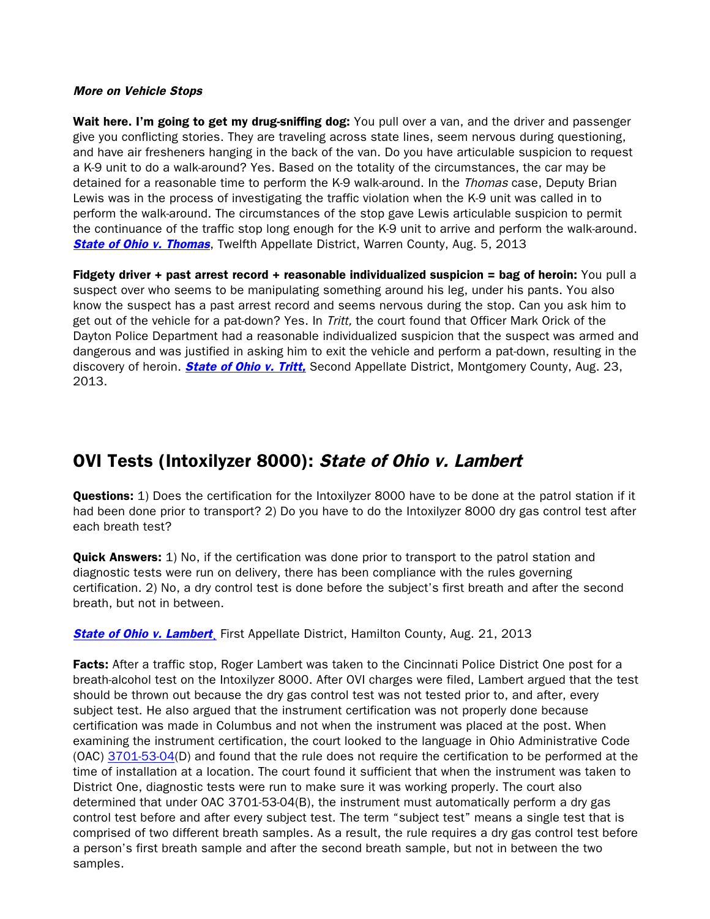#### More on Vehicle Stops

Wait here. I'm going to get my drug-sniffing dog: You pull over a van, and the driver and passenger give you conflicting stories. They are traveling across state lines, seem nervous during questioning, and have air fresheners hanging in the back of the van. Do you have articulable suspicion to request a K-9 unit to do a walk-around? Yes. Based on the totality of the circumstances, the car may be detained for a reasonable time to perform the K-9 walk-around. In the *Thomas* case, Deputy Brian Lewis was in the process of investigating the traffic violation when the K-9 unit was called in to perform the walk-around. The circumstances of the stop gave Lewis articulable suspicion to permit the continuance of the traffic stop long enough for the K-9 unit to arrive and perform the walk-around. **[State of Ohio v. Thomas](http://www.sconet.state.oh.us/rod/docs/pdf/12/2013/2013-ohio-3411.pdf), Twelfth Appellate District, Warren County, Aug. 5, 2013** 

Fidgety driver + past arrest record + reasonable individualized suspicion = bag of heroin: You pull a suspect over who seems to be manipulating something around his leg, under his pants. You also know the suspect has a past arrest record and seems nervous during the stop. Can you ask him to get out of the vehicle for a pat-down? Yes. In Tritt, the court found that Officer Mark Orick of the Dayton Police Department had a reasonable individualized suspicion that the suspect was armed and dangerous and was justified in asking him to exit the vehicle and perform a pat-down, resulting in the discovery of heroin. **[State of Ohio v. Tritt,](http://www.sconet.state.oh.us/rod/docs/pdf/2/2013/2013-ohio-3644.pdf)** Second Appellate District, Montgomery County, Aug. 23, 2013.

# OVI Tests (Intoxilyzer 8000): State of Ohio v. Lambert

**Questions:** 1) Does the certification for the Intoxilyzer 8000 have to be done at the patrol station if it had been done prior to transport? 2) Do you have to do the Intoxilyzer 8000 dry gas control test after each breath test?

**Quick Answers:** 1) No, if the certification was done prior to transport to the patrol station and diagnostic tests were run on delivery, there has been compliance with the rules governing certification. 2) No, a dry control test is done before the subject's first breath and after the second breath, but not in between.

**State of Ohio v. Lambert**, First Appellate District, Hamilton County, Aug. 21, 2013

Facts: After a traffic stop, Roger Lambert was taken to the Cincinnati Police District One post for a breath-alcohol test on the Intoxilyzer 8000. After OVI charges were filed, Lambert argued that the test should be thrown out because the dry gas control test was not tested prior to, and after, every subject test. He also argued that the instrument certification was not properly done because certification was made in Columbus and not when the instrument was placed at the post. When examining the instrument certification, the court looked to the language in Ohio Administrative Code (OAC) [3701-53-04\(](http://codes.ohio.gov/oac/3701-53-04)D) and found that the rule does not require the certification to be performed at the time of installation at a location. The court found it sufficient that when the instrument was taken to District One, diagnostic tests were run to make sure it was working properly. The court also determined that under OAC 3701-53-04(B), the instrument must automatically perform a dry gas control test before and after every subject test. The term "subject test" means a single test that is comprised of two different breath samples. As a result, the rule requires a dry gas control test before a person's first breath sample and after the second breath sample, but not in between the two samples.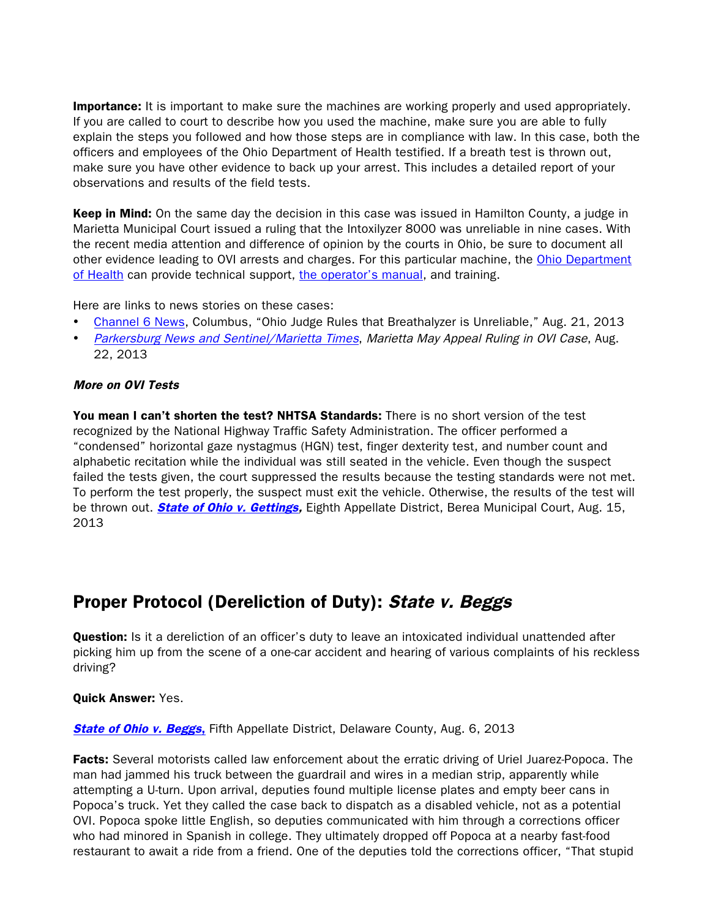**Importance:** It is important to make sure the machines are working properly and used appropriately. If you are called to court to describe how you used the machine, make sure you are able to fully explain the steps you followed and how those steps are in compliance with law. In this case, both the officers and employees of the Ohio Department of Health testified. If a breath test is thrown out, make sure you have other evidence to back up your arrest. This includes a detailed report of your observations and results of the field tests.

**Keep in Mind:** On the same day the decision in this case was issued in Hamilton County, a judge in Marietta Municipal Court issued a ruling that the Intoxilyzer 8000 was unreliable in nine cases. With the recent media attention and difference of opinion by the courts in Ohio, be sure to document all other evidence leading to OVI arrests and charges. For this particular machine, the [Ohio Department](http://www.odh.ohio.gov/odhprograms/at/alc_drug/alcdrug1.aspx)  [of Health](http://www.odh.ohio.gov/odhprograms/at/alc_drug/alcdrug1.aspx) can provide technical support, [the operator's manual,](http://www.odh.ohio.gov/~/media/ODH/ASSETS/Files/at/alcohol - drug testing/I-8000 Manual and Exception Code Chart.ashx) and training.

Here are links to news stories on these cases:

- [Channel 6 News,](http://www.abc6onyourside.com/shared/news/features/top-stories/stories/wsyx_ohio-judge-rules-breathalyzer-unreliable-25751.shtml) Columbus, "Ohio Judge Rules that Breathalyzer is Unreliable," Aug. 21, 2013
- [Parkersburg News and Sentinel/Marietta Times](http://www.newsandsentinel.com/page/content.detail/id/577294/Marietta-may-appeal-ruling-in-OVI-cases.html?nav=5061), Marietta May Appeal Ruling in OVI Case, Aug. 22, 2013

#### More on OVI Tests

You mean I can't shorten the test? NHTSA Standards: There is no short version of the test recognized by the National Highway Traffic Safety Administration. The officer performed a "condensed" horizontal gaze nystagmus (HGN) test, finger dexterity test, and number count and alphabetic recitation while the individual was still seated in the vehicle. Even though the suspect failed the tests given, the court suppressed the results because the testing standards were not met. To perform the test properly, the suspect must exit the vehicle. Otherwise, the results of the test will be thrown out. **[State of Ohio v. Gettings,](http://www.sconet.state.oh.us/rod/docs/pdf/8/2013/2013-ohio-3536.pdf)** Eighth Appellate District, Berea Municipal Court, Aug. 15, 2013

### Proper Protocol (Dereliction of Duty): State v. Beggs

**Question:** Is it a dereliction of an officer's duty to leave an intoxicated individual unattended after picking him up from the scene of a one-car accident and hearing of various complaints of his reckless driving?

#### Quick Answer: Yes.

**[State of Ohio v. Beggs](http://www.sconet.state.oh.us/rod/docs/pdf/5/2013/2013-ohio-3440.pdf), Fifth Appellate District, Delaware County, Aug. 6, 2013** 

Facts: Several motorists called law enforcement about the erratic driving of Uriel Juarez-Popoca. The man had jammed his truck between the guardrail and wires in a median strip, apparently while attempting a U-turn. Upon arrival, deputies found multiple license plates and empty beer cans in Popoca's truck. Yet they called the case back to dispatch as a disabled vehicle, not as a potential OVI. Popoca spoke little English, so deputies communicated with him through a corrections officer who had minored in Spanish in college. They ultimately dropped off Popoca at a nearby fast-food restaurant to await a ride from a friend. One of the deputies told the corrections officer, "That stupid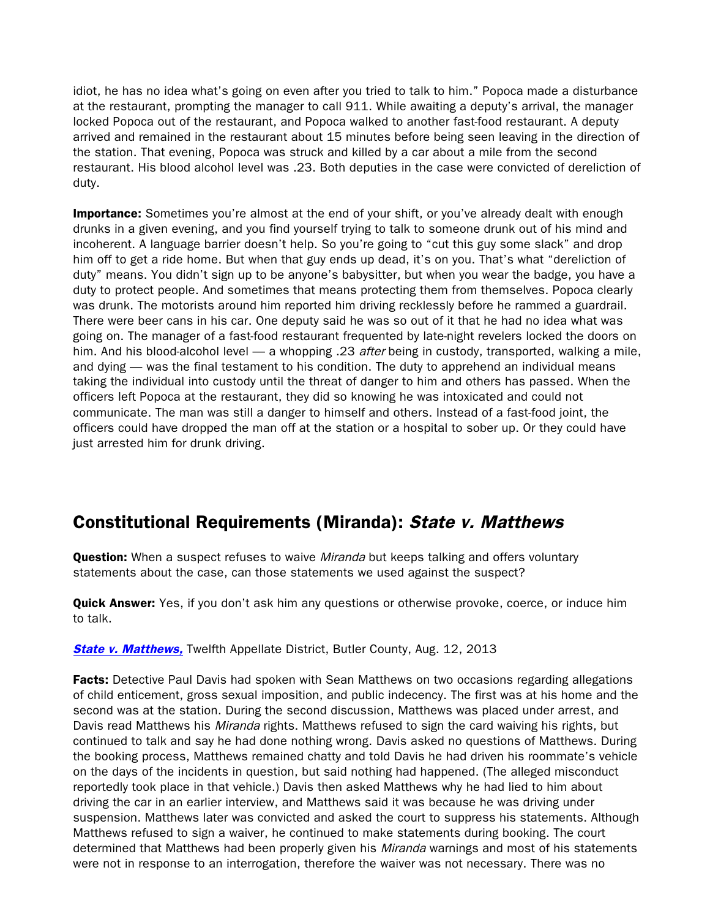idiot, he has no idea what's going on even after you tried to talk to him." Popoca made a disturbance at the restaurant, prompting the manager to call 911. While awaiting a deputy's arrival, the manager locked Popoca out of the restaurant, and Popoca walked to another fast-food restaurant. A deputy arrived and remained in the restaurant about 15 minutes before being seen leaving in the direction of the station. That evening, Popoca was struck and killed by a car about a mile from the second restaurant. His blood alcohol level was .23. Both deputies in the case were convicted of dereliction of duty.

**Importance:** Sometimes you're almost at the end of your shift, or you've already dealt with enough drunks in a given evening, and you find yourself trying to talk to someone drunk out of his mind and incoherent. A language barrier doesn't help. So you're going to "cut this guy some slack" and drop him off to get a ride home. But when that guy ends up dead, it's on you. That's what "dereliction of duty" means. You didn't sign up to be anyone's babysitter, but when you wear the badge, you have a duty to protect people. And sometimes that means protecting them from themselves. Popoca clearly was drunk. The motorists around him reported him driving recklessly before he rammed a guardrail. There were beer cans in his car. One deputy said he was so out of it that he had no idea what was going on. The manager of a fast-food restaurant frequented by late-night revelers locked the doors on him. And his blood-alcohol level — a whopping .23 after being in custody, transported, walking a mile, and dying — was the final testament to his condition. The duty to apprehend an individual means taking the individual into custody until the threat of danger to him and others has passed. When the officers left Popoca at the restaurant, they did so knowing he was intoxicated and could not communicate. The man was still a danger to himself and others. Instead of a fast-food joint, the officers could have dropped the man off at the station or a hospital to sober up. Or they could have just arrested him for drunk driving.

# Constitutional Requirements (Miranda): State v. Matthews

**Question:** When a suspect refuses to waive *Miranda* but keeps talking and offers voluntary statements about the case, can those statements we used against the suspect?

**Quick Answer:** Yes, if you don't ask him any questions or otherwise provoke, coerce, or induce him to talk.

**[State v. Matthews,](http://www.sconet.state.oh.us/rod/docs/pdf/12/2013/2013-ohio-3482.pdf)** Twelfth Appellate District, Butler County, Aug. 12, 2013

**Facts:** Detective Paul Davis had spoken with Sean Matthews on two occasions regarding allegations of child enticement, gross sexual imposition, and public indecency. The first was at his home and the second was at the station. During the second discussion, Matthews was placed under arrest, and Davis read Matthews his *Miranda* rights. Matthews refused to sign the card waiving his rights, but continued to talk and say he had done nothing wrong. Davis asked no questions of Matthews. During the booking process, Matthews remained chatty and told Davis he had driven his roommate's vehicle on the days of the incidents in question, but said nothing had happened. (The alleged misconduct reportedly took place in that vehicle.) Davis then asked Matthews why he had lied to him about driving the car in an earlier interview, and Matthews said it was because he was driving under suspension. Matthews later was convicted and asked the court to suppress his statements. Although Matthews refused to sign a waiver, he continued to make statements during booking. The court determined that Matthews had been properly given his Miranda warnings and most of his statements were not in response to an interrogation, therefore the waiver was not necessary. There was no